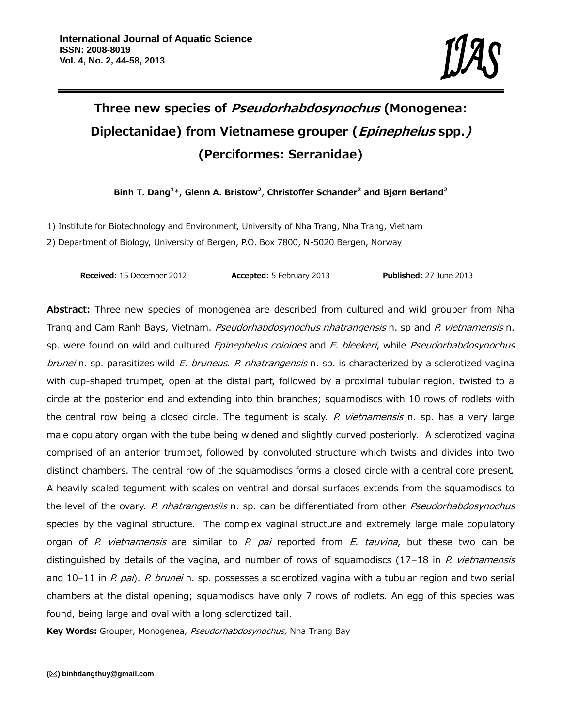# **Three new species of** *Pseudorhabdosynochus* **(Monogenea: Diplectanidae) from Vietnamese grouper (***Epinephelus* **spp.***)* **(Perciformes: Serranidae)**

**Binh T. Dang<sup>1</sup>**\***, Glenn A. Bristow<sup>2</sup>** , **Christoffer Schander<sup>2</sup> and Bjørn Berland<sup>2</sup>**

1) Institute for Biotechnology and Environment, University of Nha Trang, Nha Trang, Vietnam 2) Department of Biology, University of Bergen, P.O. Box 7800, N-5020 Bergen, Norway

**Received:** 15 December 2012 **Accepted:** 5 February 2013 **Published:** 27 June 2013

**Abstract:** Three new species of monogenea are described from cultured and wild grouper from Nha Trang and Cam Ranh Bays, Vietnam. *Pseudorhabdosynochus nhatrangensis* n. sp and *P. vietnamensis* n. sp. were found on wild and cultured *Epinephelus coioides* and *E. bleekeri*, while *Pseudorhabdosynochus brunei* n. sp. parasitizes wild *E. bruneus*. *P. nhatrangensis* n. sp. is characterized by a sclerotized vagina with cup-shaped trumpet, open at the distal part, followed by a proximal tubular region, twisted to a circle at the posterior end and extending into thin branches; squamodiscs with 10 rows of rodlets with the central row being a closed circle. The tegument is scaly. *P. vietnamensis* n. sp. has a very large male copulatory organ with the tube being widened and slightly curved posteriorly. A sclerotized vagina comprised of an anterior trumpet, followed by convoluted structure which twists and divides into two distinct chambers. The central row of the squamodiscs forms a closed circle with a central core present. A heavily scaled tegument with scales on ventral and dorsal surfaces extends from the squamodiscs to the level of the ovary. *P. nhatrangensiis* n. sp. can be differentiated from other *Pseudorhabdosynochus* species by the vaginal structure. The complex vaginal structure and extremely large male copulatory organ of *P. vietnamensis* are similar to *P. pai* reported from *E. tauvina*, but these two can be distinguished by details of the vagina, and number of rows of squamodiscs (17–18 in *P. vietnamensis* and 10–11 in *P. pai*). *P. brunei* n. sp. possesses a sclerotized vagina with a tubular region and two serial chambers at the distal opening; squamodiscs have only 7 rows of rodlets. An egg of this species was found, being large and oval with a long sclerotized tail*.*

**Key Words:** Grouper, Monogenea, *Pseudorhabdosynochus,* Nha Trang Bay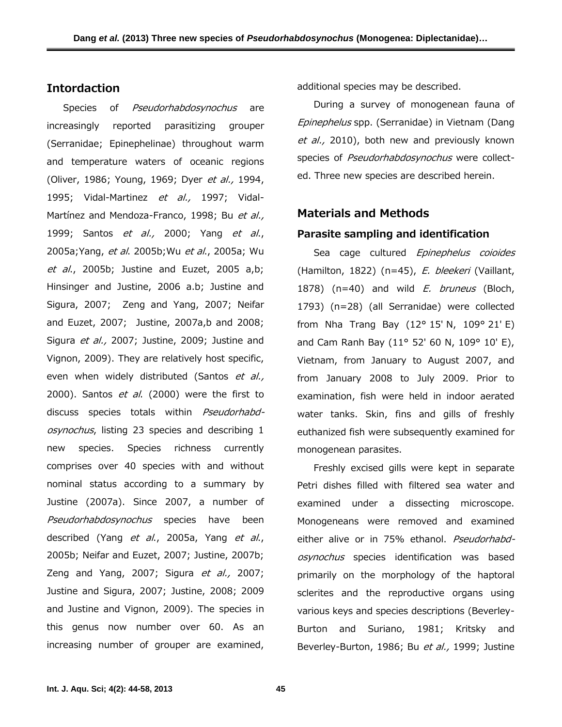# **Intordaction**

Species of *Pseudorhabdosynochus* are increasingly reported parasitizing grouper (Serranidae; Epinephelinae) throughout warm and temperature waters of oceanic regions (Oliver, 1986; Young, 1969; Dyer *et al.,* 1994, 1995; Vidal-Martinez *et al.,* 1997; Vidal- Martínez and Mendoza-Franco, 1998; Bu *et al.,* 1999; Santos *et al.,* 2000; Yang *et al*., 2005a;Yang, *et al*. 2005b;Wu *et al*., 2005a; Wu *et al*., 2005b; Justine and Euzet, 2005 a,b; Hinsinger and Justine, 2006 a.b; Justine and Sigura, 2007; Zeng and Yang, 2007; Neifar and Euzet, 2007; Justine, 2007a,b and 2008; Sigura *et al.,* 2007; Justine, 2009; Justine and Vignon, 2009). They are relatively host specific, even when widely distributed (Santos *et al.,* 2000). Santos *et al*. (2000) were the first to discuss species totals within *Pseudorhabdosynochus*, listing 23 species and describing 1 new species. Species richness currently comprises over 40 species with and without nominal status according to a summary by Justine (2007a). Since 2007, a number of *Pseudorhabdosynochus* species have been described (Yang *et al*., 2005a, Yang *et al*., 2005b; Neifar and Euzet, 2007; Justine, 2007b; Zeng and Yang, 2007; Sigura *et al.,* 2007; Justine and Sigura, 2007; Justine, 2008; 2009 and Justine and Vignon, 2009). The species in this genus now number over 60. As an increasing number of grouper are examined,

additional species may be described.

During a survey of monogenean fauna of *Epinephelus* spp. (Serranidae) in Vietnam (Dang *et al.,* 2010), both new and previously known species of *Pseudorhabdosynochus* were collect ed. Three new species are described herein.

#### **Materials and Methods**

#### **Parasite sampling and identification**

Sea cage cultured *Epinephelus coioides* (Hamilton, 1822) (n=45), *E. bleekeri* (Vaillant, 1878) (n=40) and wild *E. bruneus* (Bloch, 1793) (n=28) (all Serranidae) were collected from Nha Trang Bay (12° 15′ N, 109° 21′ E) and Cam Ranh Bay (11° 52' 60 N, 109° 10' E), Vietnam, from January to August 2007, and from January 2008 to July 2009. Prior to examination, fish were held in indoor aerated water tanks. Skin, fins and gills of freshly euthanized fish were subsequently examined for monogenean parasites.

Freshly excised gills were kept in separate Petri dishes filled with filtered sea water and examined under a dissecting microscope. Monogeneans were removed and examined either alive or in 75% ethanol. *Pseudorhabdosynochus* species identification was based primarily on the morphology of the haptoral sclerites and the reproductive organs using various keys and species descriptions (Beverley- Burton and Suriano, 1981; Kritsky and Beverley-Burton, 1986; Bu *et al.,* 1999; Justine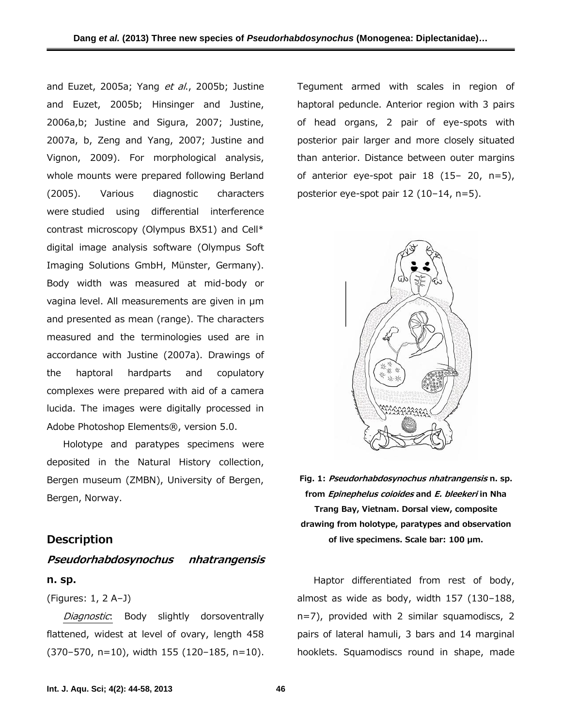and Euzet, 2005a; Yang *et al*., 2005b; Justine and Euzet, 2005b; Hinsinger and Justine, 2006a,b; Justine and Sigura, 2007; Justine, 2007a, b, Zeng and Yang, 2007; Justine and Vignon, 2009). For morphological analysis, whole mounts were prepared following Berland (2005). Various diagnostic characters were studied using differential interference contrast microscopy (Olympus BX51) and Cell\* digital image analysis software (Olympus Soft Imaging Solutions GmbH, Münster, Germany). Body width was measured at mid-body or vagina level. All measurements are given in µm and presented as mean (range). The characters measured and the terminologies used are in accordance with Justine (2007a). Drawings of the haptoral hardparts and copulatory complexes were prepared with aid of a camera lucida. The images were digitally processed in Adobe Photoshop Elements®, version 5.0.

Holotype and paratypes specimens were deposited in the Natural History collection, Bergen museum (ZMBN), University of Bergen, Bergen, Norway.

### **Description**

# *Pseudorhabdosynochus nhatrangensis* **n. sp.**

(Figures: 1, 2 A–J)

*Diagnostic*: Body slightly dorsoventrally flattened, widest at level of ovary, length 458 (370–570, n=10), width 155 (120–185, n=10).

Tegument armed with scales in region of haptoral peduncle. Anterior region with 3 pairs of head organs, 2 pair of eye-spots with posterior pair larger and more closely situated than anterior. Distance between outer margins of anterior eye-spot pair  $18$  ( $15-20$ ,  $n=5$ ), posterior eye-spot pair 12 (10–14, n=5).



**Fig. 1:** *Pseudorhabdosynochus nhatrangensis* **n. sp. from** *Epinephelus coioides* **and** *E. bleekeri* **in Nha Trang Bay, Vietnam. Dorsal view, composite drawing from holotype, paratypes and observation of live specimens. Scale bar: 100 µm.**

Haptor differentiated from rest of body, almost as wide as body, width 157 (130–188, n=7), provided with 2 similar squamodiscs, 2 pairs of lateral hamuli, 3 bars and 14 marginal hooklets. Squamodiscs round in shape, made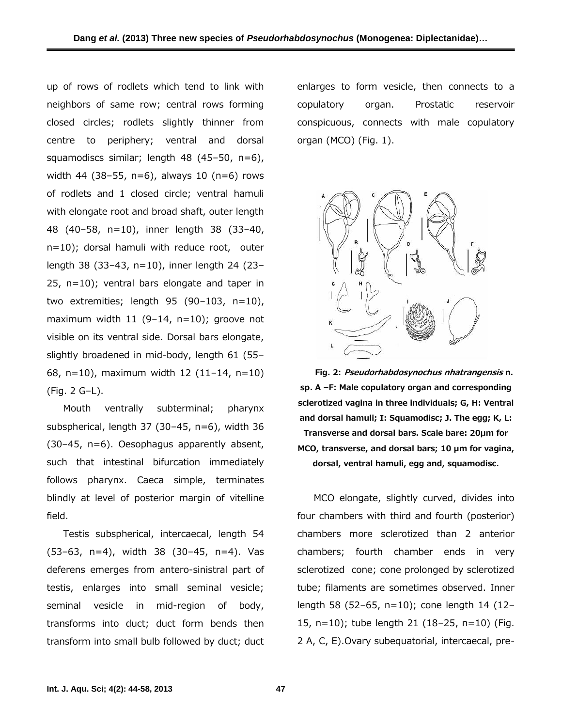up of rows of rodlets which tend to link with neighbors of same row; central rows forming closed circles; rodlets slightly thinner from centre to periphery; ventral and dorsal squamodiscs similar; length 48 (45–50, n=6), width 44 (38–55, n=6), always 10 (n=6) rows of rodlets and 1 closed circle; ventral hamuli with elongate root and broad shaft, outer length 48 (40–58, n=10), inner length 38 (33–40, n=10); dorsal hamuli with reduce root, outer length 38 (33–43, n=10), inner length 24 (23– 25, n=10); ventral bars elongate and taper in two extremities; length 95 (90–103, n=10), maximum width 11 (9–14, n=10); groove not visible on its ventral side. Dorsal bars elongate, slightly broadened in mid-body, length 61 (55– 68, n=10), maximum width 12 (11–14, n=10) (Fig. 2 G–L).

Mouth ventrally subterminal; pharynx subspherical, length 37 (30–45, n=6), width 36 (30–45, n=6). Oesophagus apparently absent, such that intestinal bifurcation immediately follows pharynx. Caeca simple, terminates blindly at level of posterior margin of vitelline field.

Testis subspherical, intercaecal, length 54 (53–63, n=4), width 38 (30–45, n=4). Vas deferens emerges from antero-sinistral part of testis, enlarges into small seminal vesicle; seminal vesicle in mid-region of body, transforms into duct; duct form bends then transform into small bulb followed by duct; duct enlarges to form vesicle, then connects to a copulatory organ. Prostatic reservoir conspicuous, connects with male copulatory organ (MCO) (Fig. 1).



**Fig. 2:** *Pseudorhabdosynochus nhatrangensis* **n. sp***.* **A –F: Male copulatory organ and corresponding sclerotized vagina in three individuals; G, H: Ventral and dorsal hamuli; I: Squamodisc; J. The egg; K, L: Transverse and dorsal bars. Scale bare: 20µm for MCO, transverse, and dorsal bars; 10 µm for vagina, dorsal, ventral hamuli, egg and, squamodisc.**

MCO elongate, slightly curved, divides into four chambers with third and fourth (posterior) chambers more sclerotized than 2 anterior chambers; fourth chamber ends in very sclerotized cone; cone prolonged by sclerotized tube; filaments are sometimes observed. Inner length 58 (52–65, n=10); cone length 14 (12– 15, n=10); tube length 21 (18–25, n=10) (Fig. 2 A, C, E).Ovary subequatorial, intercaecal, pre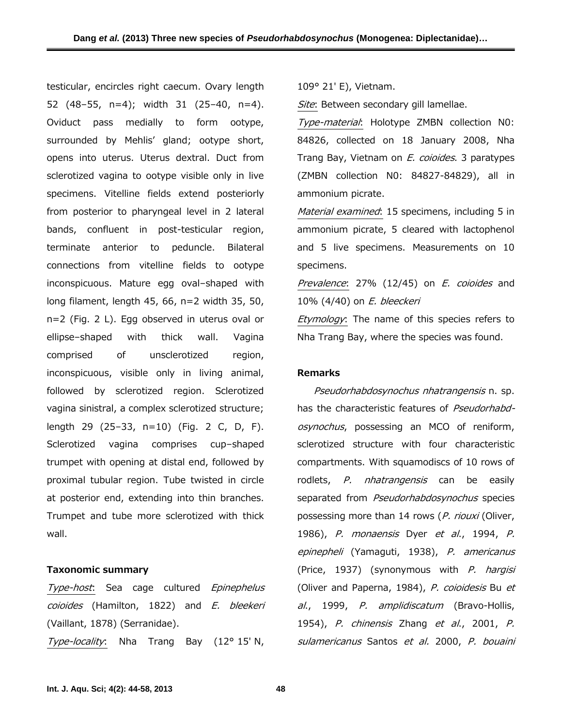testicular, encircles right caecum. Ovary length 52 (48–55, n=4); width 31 (25–40, n=4). Oviduct pass medially to form ootype, surrounded by Mehlis' gland; ootype short, opens into uterus. Uterus dextral. Duct from sclerotized vagina to ootype visible only in live specimens. Vitelline fields extend posteriorly from posterior to pharyngeal level in 2 lateral bands, confluent in post-testicular region, terminate anterior to peduncle. Bilateral connections from vitelline fields to ootype inconspicuous. Mature egg oval–shaped with long filament, length 45, 66, n=2 width 35, 50, n=2 (Fig. 2 L). Egg observed in uterus oval or ellipse–shaped with thick wall. Vagina comprised of unsclerotized region, inconspicuous, visible only in living animal, followed by sclerotized region. Sclerotized vagina sinistral, a complex sclerotized structure; length 29 (25–33, n=10) (Fig. 2 C, D, F). Sclerotized vagina comprises cup–shaped trumpet with opening at distal end, followed by proximal tubular region. Tube twisted in circle at posterior end, extending into thin branches. Trumpet and tube more sclerotized with thick wall.

#### **Taxonomic summary**

*Type-host*: Sea cage cultured *Epinephelus coioides* (Hamilton, 1822) and *E. bleekeri* (Vaillant, 1878) (Serranidae).

*Type-locality*: Nha Trang Bay (12° 15′ N,

109° 21′ E), Vietnam.

*Site*: Between secondary gill lamellae.

*Type-material*: Holotype ZMBN collection N0: 84826, collected on 18 January 2008, Nha Trang Bay, Vietnam on *E. coioides*. 3 paratypes (ZMBN collection N0: 84827-84829), all in ammonium picrate.

*Material examined*: 15 specimens, including 5 in ammonium picrate, 5 cleared with lactophenol and 5 live specimens. Measurements on 10 specimens.

*Prevalence*: 27% (12/45) on *E. coioides* and 10% (4/40) on *E. bleeckeri*

*Etymology*: The name of this species refers to Nha Trang Bay, where the species was found.

#### **Remarks**

*Pseudorhabdosynochus nhatrangensis* n. sp. has the characteristic features of *Pseudorhabdosynochus*, possessing an MCO of reniform, sclerotized structure with four characteristic compartments. With squamodiscs of 10 rows of rodlets, *P. nhatrangensis* can be easily separated from *Pseudorhabdosynochus* species possessing more than 14 rows (*P. riouxi* (Oliver, 1986), *P. monaensis* Dyer *et al*., 1994, *P. epinepheli* (Yamaguti, 1938), *P. americanus* (Price, 1937) (synonymous with *P. hargisi* (Oliver and Paperna, 1984), *P. coioidesis* Bu *et al*., 1999, *P. amplidiscatum* (Bravo-Hollis, 1954), *P. chinensis* Zhang *et al*., 2001, *P. sulamericanus* Santos *et al.* 2000, *P. bouaini*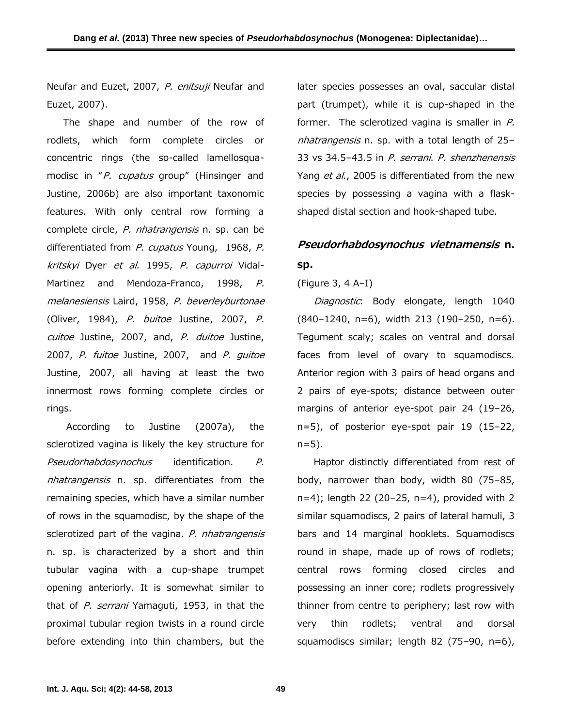Neufar and Euzet, 2007, *P. enitsuji* Neufar and Euzet, 2007).

The shape and number of the row of rodlets, which form complete circles or concentric rings (the so-called lamellosqua modisc in "*P. cupatus* group" (Hinsinger and Justine, 2006b) are also important taxonomic features. With only central row forming a complete circle, *P. nhatrangensis* n. sp. can be differentiated from *P. cupatus* Young, 1968, *P. kritskyi* Dyer *et al*. 1995, *P. capurroi* Vidal- Martinez and Mendoza-Franco, 1998, *P. melanesiensis* Laird, 1958, *P. beverleyburtonae* (Oliver, 1984), *P. buitoe* Justine, 2007, *P. cuitoe* Justine, 2007, and, *P. duitoe* Justine, 2007, *P. fuitoe* Justine, 2007, and *P. guitoe* Justine, 2007, all having at least the two innermost rows forming complete circles or rings.

 According to Justine (2007a), the sclerotized vagina is likely the key structure for *Pseudorhabdosynochus* identification. *P. nhatrangensis* n. sp*.* differentiates from the remaining species, which have a similar number of rows in the squamodisc, by the shape of the sclerotized part of the vagina. *P. nhatrangensis* n. sp. is characterized by a short and thin tubular vagina with a cup-shape trumpet opening anteriorly. It is somewhat similar to that of *P. serrani* Yamaguti, 1953, in that the proximal tubular region twists in a round circle before extending into thin chambers, but the

later species possesses an oval, saccular distal part (trumpet), while it is cup-shaped in the former. The sclerotized vagina is smaller in *P. nhatrangensis* n. sp. with a total length of 25– 33 vs 34.5–43.5 in *P. serrani*. *P. shenzhenensis* Yang *et al*., 2005 is differentiated from the new species by possessing a vagina with a flask shaped distal section and hook-shaped tube.

# *Pseudorhabdosynochus vietnamensis* **n. sp.**

### (Figure 3, 4 A–I)

*Diagnostic*: Body elongate, length 1040 (840–1240, n=6), width 213 (190–250, n=6). Tegument scaly; scales on ventral and dorsal faces from level of ovary to squamodiscs. Anterior region with 3 pairs of head organs and 2 pairs of eye-spots; distance between outer margins of anterior eye-spot pair 24 (19–26, n=5), of posterior eye-spot pair 19 (15–22, n=5).

Haptor distinctly differentiated from rest of body, narrower than body, width 80 (75–85, n=4); length 22 (20–25, n=4), provided with 2 similar squamodiscs, 2 pairs of lateral hamuli, 3 bars and 14 marginal hooklets. Squamodiscs round in shape, made up of rows of rodlets; central rows forming closed circles and possessing an inner core; rodlets progressively thinner from centre to periphery; last row with thin rodlets; ventral and dorsal squamodiscs similar; length 82 (75–90, n=6),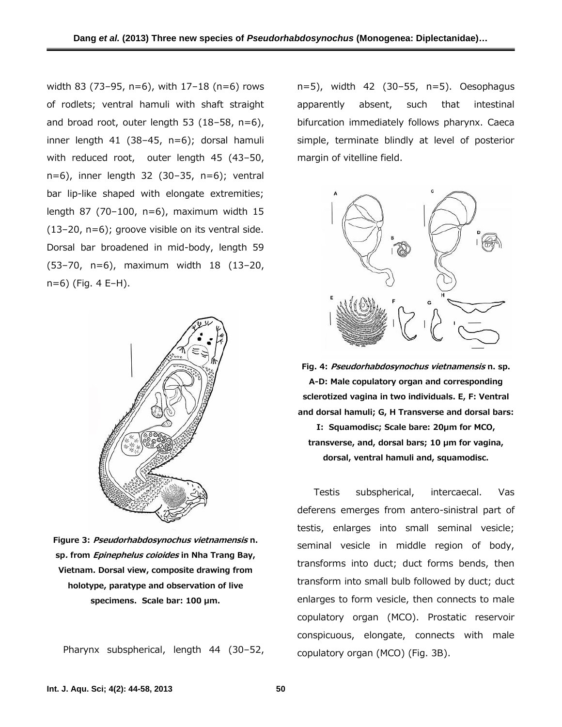width 83 (73–95, n=6), with 17–18 (n=6) rows of rodlets; ventral hamuli with shaft straight and broad root, outer length 53 (18–58, n=6), inner length 41 (38–45, n=6); dorsal hamuli with reduced root, outer length 45 (43–50, n=6), inner length 32 (30–35, n=6); ventral bar lip-like shaped with elongate extremities; length 87 (70–100, n=6), maximum width 15 (13–20, n=6); groove visible on its ventral side. Dorsal bar broadened in mid-body, length 59 (53–70, n=6), maximum width 18 (13–20, n=6) (Fig. 4 E–H).



**Figure 3:** *Pseudorhabdosynochus vietnamensis* **n. sp***.* **from** *Epinephelus coioides* **in Nha Trang Bay, Vietnam. Dorsal view, composite drawing from holotype, paratype and observation of live specimens. Scale bar: 100 µm.**

Pharynx subspherical, length 44 (30–52,

n=5), width 42 (30–55, n=5). Oesophagus apparently absent, such that intestinal bifurcation immediately follows pharynx. Caeca simple, terminate blindly at level of posterior margin of vitelline field.



**Fig. 4:** *Pseudorhabdosynochus vietnamensis* **n. sp. A-D: Male copulatory organ and corresponding sclerotized vagina in two individuals. E, F: Ventral and dorsal hamuli; G, H Transverse and dorsal bars: I: Squamodisc; Scale bare: 20µm for MCO, transverse, and, dorsal bars; 10 µm for vagina, dorsal, ventral hamuli and, squamodisc.**

Testis subspherical, intercaecal. Vas deferens emerges from antero-sinistral part of testis, enlarges into small seminal vesicle; seminal vesicle in middle region of body, transforms into duct; duct forms bends, then transform into small bulb followed by duct; duct enlarges to form vesicle, then connects to male copulatory organ (MCO). Prostatic reservoir conspicuous, elongate, connects with male copulatory organ (MCO) (Fig. 3B).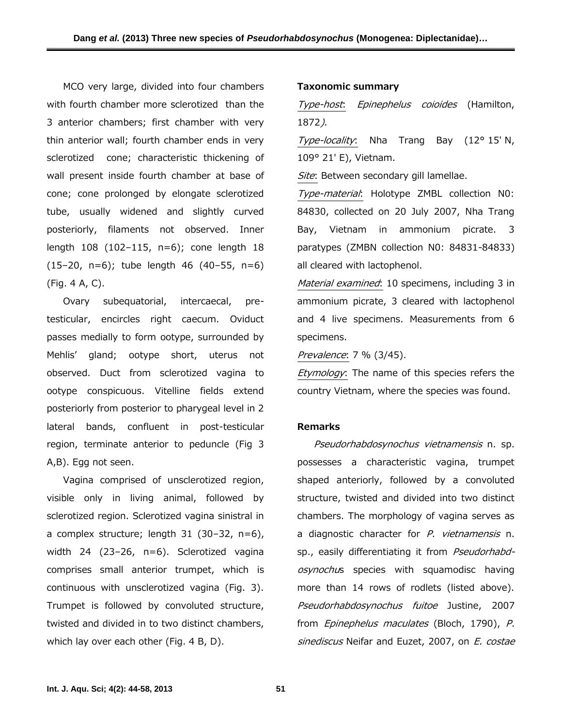MCO very large, divided into four chambers with fourth chamber more sclerotized than the Type-host. 3 anterior chambers; first chamber with very thin anterior wall; fourth chamber ends in very sclerotized cone; characteristic thickening of wall present inside fourth chamber at base of cone; cone prolonged by elongate sclerotized tube, usually widened and slightly curved posteriorly, filaments not observed. Inner length 108 (102–115, n=6); cone length 18  $(15-20, n=6)$ ; tube length 46  $(40-55, n=6)$ (Fig. 4 A, C).

Ovary subequatorial, intercaecal, pretesticular, encircles right caecum. Oviduct passes medially to form ootype, surrounded by Mehlis' gland; ootype short, uterus not observed. Duct from sclerotized vagina to ootype conspicuous. Vitelline fields extend posteriorly from posterior to pharygeal level in 2 lateral bands, confluent in post-testicular region, terminate anterior to peduncle (Fig 3 A,B). Egg not seen.

Vagina comprised of unsclerotized region, visible only in living animal, followed by sclerotized region. Sclerotized vagina sinistral in a complex structure; length 31 (30–32, n=6), width 24 (23–26, n=6). Sclerotized vagina comprises small anterior trumpet, which is continuous with unsclerotized vagina (Fig. 3). Trumpet is followed by convoluted structure, twisted and divided in to two distinct chambers, which lay over each other (Fig. 4 B, D).

#### **Taxonomic summary**

*Type-host*: *Epinephelus coioides* (Hamilton, 1872*)*.

*Type-locality*: Nha Trang Bay (12° 15′ N, 109° 21′ E), Vietnam.

*Site*: Between secondary gill lamellae.

*Type-material*: Holotype ZMBL collection N0: 84830, collected on 20 July 2007, Nha Trang Bay, Vietnam in ammonium picrate. 3 paratypes (ZMBN collection N0: 84831-84833) all cleared with lactophenol.

*Material examined*: 10 specimens, including 3 in ammonium picrate, 3 cleared with lactophenol and 4 live specimens. Measurements from 6 specimens.

*Prevalence*: 7 % (3/45).

*Etymology*: The name of this species refers the country Vietnam, where the species was found.

### **Remarks**

*Pseudorhabdosynochus vietnamensis* n. sp. possesses a characteristic vagina, trumpet shaped anteriorly, followed by a convoluted structure, twisted and divided into two distinct chambers. The morphology of vagina serves as a diagnostic character for *P*. *vietnamensis* n. sp., easily differentiating it from *Pseudorhabdosynochu*s species with squamodisc having more than 14 rows of rodlets (listed above). *Pseudorhabdosynochus fuitoe* Justine, 2007 from *Epinephelus maculates* (Bloch, 1790), *P. sinediscus* Neifar and Euzet, 2007, on *E. costae*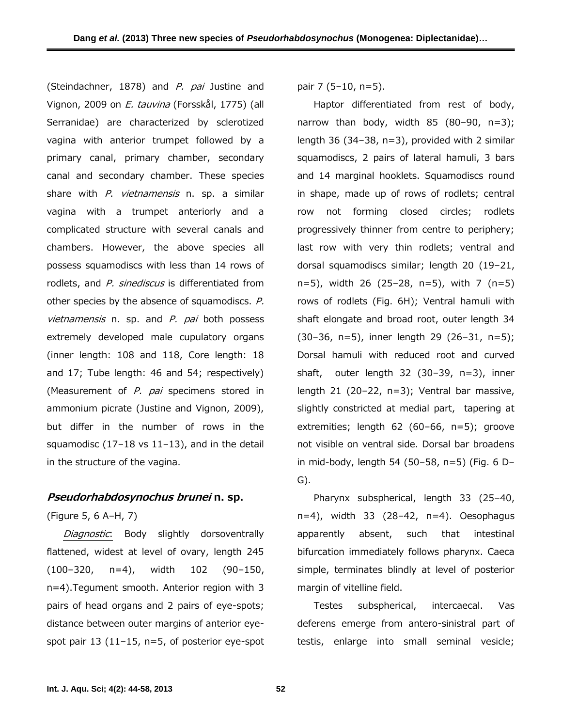(Steindachner, 1878) and *P. pai* Justine and Vignon, 2009 on *E. tauvina* (Forsskål, 1775) (all Serranidae) are characterized by sclerotized vagina with anterior trumpet followed by a primary canal, primary chamber, secondary canal and secondary chamber. These species share with *P*. *vietnamensis* n. sp. a similar vagina with a trumpet anteriorly and a complicated structure with several canals and chambers. However, the above species all possess squamodiscs with less than 14 rows of rodlets, and *P. sinediscus* is differentiated from other species by the absence of squamodiscs. *P. vietnamensis* n. sp. and *P. pai* both possess extremely developed male cupulatory organs (inner length: 108 and 118, Core length: 18 and 17; Tube length: 46 and 54; respectively) (Measurement of *P. pai* specimens stored in ammonium picrate (Justine and Vignon, 2009), but differ in the number of rows in the squamodisc (17–18 vs 11–13), and in the detail in the structure of the vagina.

# *Pseudorhabdosynochus brunei* **n. sp.**

(Figure 5, 6 A–H, 7)

*Diagnostic*: Body slightly dorsoventrally flattened, widest at level of ovary, length 245 (100–320, n=4), width 102 (90–150, n=4).Tegument smooth. Anterior region with 3 pairs of head organs and 2 pairs of eye-spots; distance between outer margins of anterior eye spot pair 13 (11–15, n=5, of posterior eye-spot

pair 7 (5–10, n=5).

Haptor differentiated from rest of body, narrow than body, width  $85$  ( $80-90$ ,  $n=3$ ); length 36 (34–38, n=3), provided with 2 similar squamodiscs, 2 pairs of lateral hamuli, 3 bars and 14 marginal hooklets. Squamodiscs round in shape, made up of rows of rodlets; central row not forming closed circles; rodlets progressively thinner from centre to periphery; last row with very thin rodlets; ventral and dorsal squamodiscs similar; length 20 (19–21, n=5), width 26 (25–28, n=5), with 7 (n=5) rows of rodlets (Fig. 6H); Ventral hamuli with shaft elongate and broad root, outer length 34 (30–36, n=5), inner length 29 (26–31, n=5); Dorsal hamuli with reduced root and curved shaft, outer length 32 (30–39, n=3), inner length 21 (20–22, n=3); Ventral bar massive, slightly constricted at medial part, tapering at extremities; length 62 (60–66, n=5); groove not visible on ventral side. Dorsal bar broadens in mid-body, length 54 (50–58, n=5) (Fig. 6 D– G).

Pharynx subspherical, length 33 (25–40,  $n=4$ ), width 33 (28-42,  $n=4$ ). Oesophagus absent, such that intestinal bifurcation immediately follows pharynx. Caeca simple, terminates blindly at level of posterior margin of vitelline field.

Testes subspherical, intercaecal. Vas deferens emerge from antero-sinistral part of testis, enlarge into small seminal vesicle;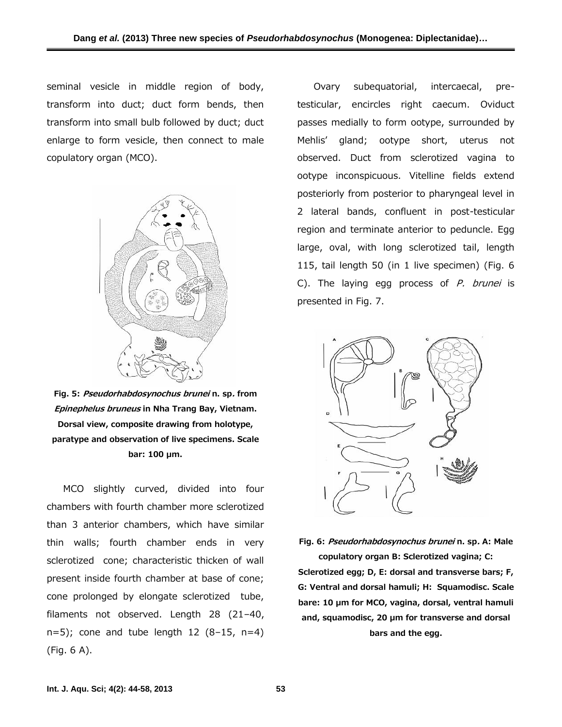seminal vesicle in middle region of body, transform into duct; duct form bends, then transform into small bulb followed by duct; duct enlarge to form vesicle, then connect to male copulatory organ (MCO).



**Fig. 5:** *Pseudorhabdosynochus brunei* **n. sp***.* **from** *Epinephelus bruneus* **in Nha Trang Bay, Vietnam. Dorsal view, composite drawing from holotype, paratype and observation of live specimens. Scale bar: 100 µm.**

MCO slightly curved, divided into four chambers with fourth chamber more sclerotized than 3 anterior chambers, which have similar thin walls; fourth chamber ends in very sclerotized cone; characteristic thicken of wall present inside fourth chamber at base of cone; cone prolonged by elongate sclerotized tube, filaments not observed. Length 28 (21–40,  $n=5$ ; cone and tube length 12 (8-15,  $n=4$ ) (Fig. 6 A).

Ovary subequatorial, intercaecal, pretesticular, encircles right caecum. Oviduct passes medially to form ootype, surrounded by Mehlis' gland; ootype short, uterus not observed. Duct from sclerotized vagina to ootype inconspicuous. Vitelline fields extend posteriorly from posterior to pharyngeal level in 2 lateral bands, confluent in post-testicular region and terminate anterior to peduncle. Egg large, oval, with long sclerotized tail, length 115, tail length 50 (in 1 live specimen) (Fig. 6 C). The laying egg process of *P. brunei* is presented in Fig. 7.



**Fig. 6:** *Pseudorhabdosynochus brunei* **n. sp***.* **A: Male copulatory organ B: Sclerotized vagina; C: Sclerotized egg; D, E: dorsal and transverse bars; F, G: Ventral and dorsal hamuli; H: Squamodisc. Scale bare: 10 µm for MCO, vagina, dorsal, ventral hamuli and, squamodisc, 20 µm for transverse and dorsal bars and the egg.**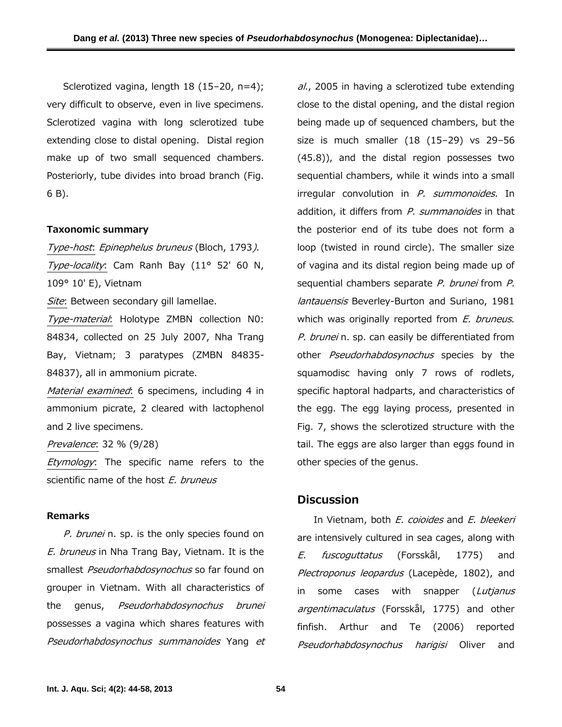Sclerotized vagina, length 18 (15-20, n=4); very difficult to observe, even in live specimens. Sclerotized vagina with long sclerotized tube extending close to distal opening. Distal region make up of two small sequenced chambers. Posteriorly, tube divides into broad branch (Fig. 6 B).

#### **Taxonomic summary**

*Type-host*: *Epinephelus bruneus* (Bloch, 1793*)*. *Type-locality*: Cam Ranh Bay (11° 52' 60 N, 109° 10' E), Vietnam

*Site*: Between secondary gill lamellae.

*Type-material*: Holotype ZMBN collection N0: 84834, collected on 25 July 2007, Nha Trang Bay, Vietnam; 3 paratypes (ZMBN 84835- 84837), all in ammonium picrate.

*Material examined*: 6 specimens, including 4 in ammonium picrate, 2 cleared with lactophenol and 2 live specimens.

*Prevalence*: 32 % (9/28)

*Etymology*: The specific name refers to the scientific name of the host *E. bruneus*

#### **Remarks**

*P. brunei* n. sp. is the only species found on *E. bruneus* in Nha Trang Bay, Vietnam. It is the smallest *Pseudorhabdosynochus* so far found on grouper in Vietnam. With all characteristics of the genus, *Pseudorhabdosynochus brunei* possesses a vagina which shares features with *Pseudorhabdosynochus summanoides* Yang *et*

*al*., 2005 in having a sclerotized tube extending close to the distal opening, and the distal region being made up of sequenced chambers, but the size is much smaller (18 (15–29) vs 29–56 (45.8)), and the distal region possesses two sequential chambers, while it winds into a small irregular convolution in *P. summonoides.* In addition, it differs from *P. summanoides* in that the posterior end of its tube does not form a loop (twisted in round circle). The smaller size of vagina and its distal region being made up of sequential chambers separate *P. brunei* from *P. lantauensis* Beverley-Burton and Suriano, 1981 which was originally reported from *E. bruneus*. *P. brunei* n. sp. can easily be differentiated from other *Pseudorhabdosynochus* species by the squamodisc having only 7 rows of rodlets, specific haptoral hadparts, and characteristics of the egg. The egg laying process, presented in Fig. 7, shows the sclerotized structure with the tail. The eggs are also larger than eggs found in other species of the genus.

# **Discussion**

In Vietnam, both *E. coioides* and *E. bleekeri* are intensively cultured in sea cages, along with *E. fuscoguttatus* (Forsskål, 1775) and *Plectroponus leopardus* (Lacepède, 1802), and in some cases with snapper (*Lutjanus argentimaculatus* (Forsskål, 1775) and other finfish. Arthur and Te (2006) reported *Pseudorhabdosynochus harigisi* Oliver and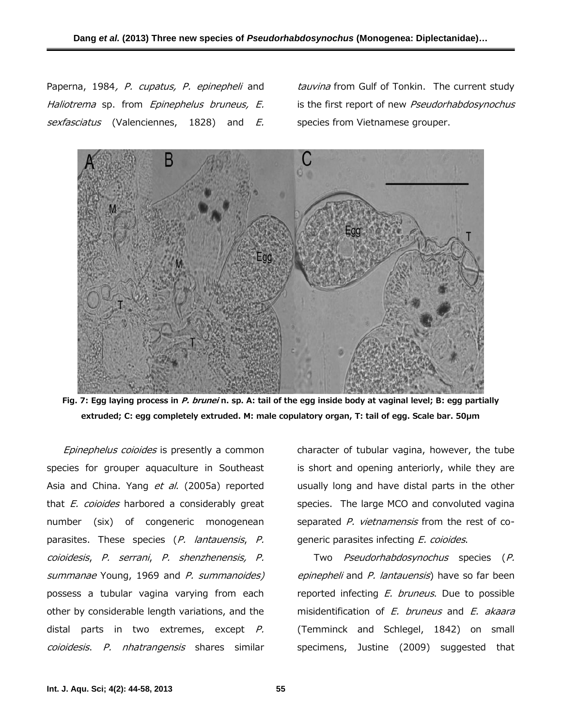Paperna, 1984*, P. cupatus, P. epinepheli* and *Haliotrema* sp. from *Epinephelus bruneus, E. sexfasciatus* (Valenciennes, 1828) and *E.*

*tauvina* from Gulf of Tonkin. The current study is the first report of new *Pseudorhabdosynochus* species from Vietnamese grouper.



**Fig. 7: Egg laying process in** *P. brunei* **n. sp. A: tail of the egg inside body at vaginal level; B: egg partially extruded; C: egg completely extruded. M: male copulatory organ, T: tail of egg. Scale bar. 50µm**

*Epinephelus coioides* is presently a common species for grouper aquaculture in Southeast Asia and China. Yang *et al*. (2005a) reported that *E. coioides* harbored a considerably great number (six) of congeneric monogenean parasites. These species (*P. lantauensis*, *P. coioidesis*, *P. serrani*, *P. shenzhenensis, P. summanae* Young, 1969 and *P. summanoides)* possess a tubular vagina varying from each other by considerable length variations, and the distal parts in two extremes, except *P. coioidesis*. *P. nhatrangensis* shares similar

character of tubular vagina, however, the tube is short and opening anteriorly, while they are usually long and have distal parts in the other species. The large MCO and convoluted vagina separated *P. vietnamensis* from the rest of co generic parasites infecting *E. coioides*.

Two *Pseudorhabdosynochus* species (*P. epinepheli* and *P. lantauensis*) have so far been reported infecting *E. bruneus*. Due to possible misidentification of *E. bruneus* and *E. akaara* (Temminck and Schlegel, 1842) on small specimens, Justine (2009) suggested that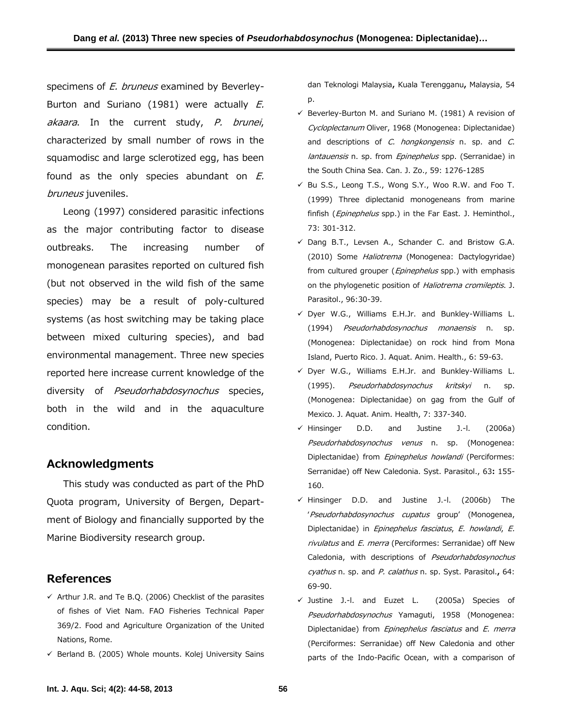specimens of *E. bruneus* examined by Beverley- Burton and Suriano (1981) were actually *E. akaara*. In the current study, *P. brunei*, characterized by small number of rows in the squamodisc and large sclerotized egg, has been found as the only species abundant on *E. bruneus* juveniles.

Leong (1997) considered parasitic infections as the major contributing factor to disease outbreaks. The increasing number of monogenean parasites reported on cultured fish (but not observed in the wild fish of the same species) may be a result of poly-cultured systems (as host switching may be taking place between mixed culturing species), and bad environmental management. Three new species reported here increase current knowledge of the diversity of *Pseudorhabdosynochus* species, both in the wild and in the aquaculture condition.

# **Acknowledgments**

This study was conducted as part of the PhD Quota program, University of Bergen, Depart ment of Biology and financially supported by the Marine Biodiversity research group.

# **References**

- $\checkmark$  Arthur J.R. and Te B.Q. (2006) Checklist of the parasites of fishes of Viet Nam. FAO Fisheries Technical Paper 369/2. Food and Agriculture Organization of the United Nations, Rome.
- $\checkmark$  Berland B. (2005) Whole mounts. Kolej University Sains

dan Teknologi Malaysia**,** Kuala Terengganu**,** Malaysia, 54 p.

- $\checkmark$  Beverley-Burton M. and Suriano M. (1981) A revision of *Cycloplectanum* Oliver, 1968 (Monogenea: Diplectanidae) and descriptions of *C. hongkongensis* n. sp. and *C. lantauensis* n. sp. from *Epinephelus* spp. (Serranidae) in the South China Sea. Can. J. Zo., 59: 1276-1285
- $\checkmark$  Bu S.S., Leong T.S., Wong S.Y., Woo R.W. and Foo T. (1999) Three diplectanid monogeneans from marine finfish (*Epinephelus* spp.) in the Far East. J. Heminthol., 73: 301-312.
- $\checkmark$  Dang B.T., Levsen A., Schander C. and Bristow G.A. (2010) Some *Haliotrema* (Monogenea: Dactylogyridae) from cultured grouper (*Epinephelus* spp.) with emphasis on the phylogenetic position of *Haliotrema cromileptis*. J. Parasitol., 96:30-39.
- $\checkmark$  Dyer W.G., Williams E.H.Jr. and Bunkley-Williams L. (1994) *Pseudorhabdosynochus monaensis* n. sp. (Monogenea: Diplectanidae) on rock hind from Mona Island, Puerto Rico. J. Aquat. Anim. Health., 6: 59-63.
- Dyer W.G., Williams E.H.Jr. and Bunkley-Williams L. (1995). *Pseudorhabdosynochus kritskyi* n. sp. (Monogenea: Diplectanidae) on gag from the Gulf of Mexico. J. Aquat. Anim. Health, 7: 337-340.
- $\checkmark$  Hinsinger D.D. and Justine J.-l. (2006a) *Pseudorhabdosynochus venus* n. sp. (Monogenea: Diplectanidae) from *Epinephelus howlandi* (Perciformes: Serranidae) off New Caledonia. Syst. Parasitol., 63**:** 155- 160.
- $\checkmark$  Hinsinger D.D. and Justine J.-l. (2006b) The '*Pseudorhabdosynochus cupatus* group' (Monogenea, Diplectanidae) in *Epinephelus fasciatus*, *E. howlandi*, *E. rivulatus* and *E. merra* (Perciformes: Serranidae) off New Caledonia, with descriptions of *Pseudorhabdosynochus cyathus* n. sp. and *P. calathus* n. sp. Syst. Parasitol.**,** 64: 69-90.
- Justine J.-l. and Euzet L. (2005a) Species of *Pseudorhabdosynochus* Yamaguti, 1958 (Monogenea: Diplectanidae) from *Epinephelus fasciatus* and *E. merra* (Perciformes: Serranidae) off New Caledonia and other parts of the Indo-Pacific Ocean, with a comparison of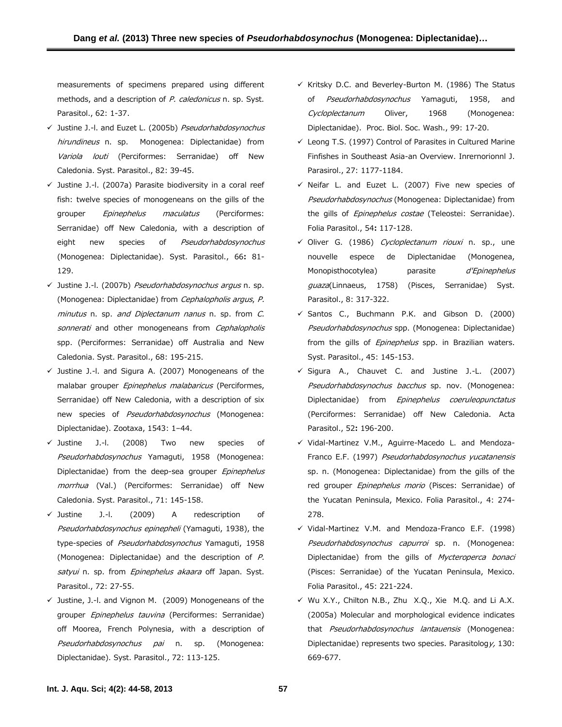measurements of specimens prepared using different methods, and a description of *P. caledonicus* n. sp. Syst. Parasitol., 62: 1-37.

- Justine J.-l. and Euzet L. (2005b) *Pseudorhabdosynochus hirundineus* n. sp. Monogenea: Diplectanidae) from *Variola louti* (Perciformes: Serranidae) off New Caledonia. Syst. Parasitol., 82: 39-45.
- $\checkmark$  Justine J.-l. (2007a) Parasite biodiversity in a coral reef fish: twelve species of monogeneans on the gills of the grouper *Epinephelus maculatus* (Perciformes: Serranidae) off New Caledonia, with a description of eight new species of *Pseudorhabdosynochus* (Monogenea: Diplectanidae). Syst. Parasitol., 66**:** 81- 129.
- Justine J.-l. (2007b) *Pseudorhabdosynochus argus* n. sp. (Monogenea: Diplectanidae) from *Cephalopholis argus*, *P. minutus* n. sp. *and Diplectanum nanus* n. sp. from *C. sonnerati* and other monogeneans from *Cephalopholis* spp. (Perciformes: Serranidae) off Australia and New Caledonia. Syst. Parasitol., 68: 195-215.
- $\checkmark$  Justine J.-l. and Sigura A. (2007) Monogeneans of the malabar grouper *Epinephelus malabaricus* (Perciformes, Serranidae) off New Caledonia, with a description of six new species of *Pseudorhabdosynochus* (Monogenea: Diplectanidae). Zootaxa, 1543: 1–44.
- $\checkmark$  Justine J.-l. (2008) Two new species of *Pseudorhabdosynochus* Yamaguti, 1958 (Monogenea: Diplectanidae) from the deep-sea grouper *Epinephelus morrhua* (Val.) (Perciformes: Serranidae) off New Caledonia. Syst. Parasitol., 71: 145-158.
- Justine J.-l. (2009) A redescription of *Pseudorhabdosynochus epinepheli* (Yamaguti, 1938), the type-species of *Pseudorhabdosynochus* Yamaguti, 1958 (Monogenea: Diplectanidae) and the description of *P. satyui* n. sp. from *Epinephelus akaara* off Japan. Syst. Parasitol., 72: 27-55.
- $\checkmark$  Justine, J.-I. and Vignon M. (2009) Monogeneans of the grouper *Epinephelus tauvina* (Perciformes: Serranidae) off Moorea, French Polynesia, with a description of *Pseudorhabdosynochus pai* n. sp. (Monogenea: Diplectanidae). Syst. Parasitol., 72: 113-125.
- $\checkmark$  Kritsky D.C. and Beverley-Burton M. (1986) The Status of *Pseudorhabdosynochus* Yamaguti, 1958, and *Cycloplectanum* Oliver, 1968 (Monogenea: Diplectanidae). Proc. Biol. Soc. Wash., 99: 17-20.
- $\checkmark$  Leong T.S. (1997) Control of Parasites in Cultured Marine Finfishes in Southeast Asia-an Overview. Inrernorionnl J. Parasirol., 27: 1177-1184.
- $\checkmark$  Neifar L. and Euzet L. (2007) Five new species of *Pseudorhabdosynochus* (Monogenea: Diplectanidae) from the gills of *Epinephelus costae* (Teleostei: Serranidae). Folia Parasitol., 54**:** 117-128.
- Oliver G. (1986) *Cycloplectanum riouxi* n. sp., une nouvelle espece de Diplectanidae (Monogenea, Monopisthocotylea) parasite *d'Epinephelus guaza*(Linnaeus, 1758) (Pisces, Serranidae) Syst. Parasitol., 8: 317-322.
- $\checkmark$  Santos C., Buchmann P.K. and Gibson D. (2000) *Pseudorhabdosynochus* spp. (Monogenea: Diplectanidae) from the gills of *Epinephelus* spp. in Brazilian waters. Syst. Parasitol., 45: 145-153.
- $\checkmark$  Sigura A., Chauvet C. and Justine J.-L. (2007) *Pseudorhabdosynochus bacchus* sp. nov. (Monogenea: Diplectanidae) from *Epinephelus coeruleopunctatus* (Perciformes: Serranidae) off New Caledonia. Acta Parasitol., 52**:** 196-200.
- Vidal-Martinez V.M., Aguirre-Macedo L. and Mendoza- Franco E.F. (1997) *Pseudorhabdosynochus yucatanensis* sp. n. (Monogenea: Diplectanidae) from the gills of the red grouper *Epinephelus morio* (Pisces: Serranidae) of the Yucatan Peninsula, Mexico. Folia Parasitol., 4: 274- 278.
- Vidal-Martinez V.M. and Mendoza-Franco E.F. (1998) *Pseudorhabdosynochus capurroi* sp. n. (Monogenea: Diplectanidae) from the gills of *Mycteroperca bonaci* (Pisces: Serranidae) of the Yucatan Peninsula, Mexico. Folia Parasitol., 45: 221-224.
- $\checkmark$  Wu X.Y., Chilton N.B., Zhu X.Q., Xie M.Q. and Li A.X. (2005a) Molecular and morphological evidence indicates that *Pseudorhabdosynochus lantauensis* (Monogenea: Diplectanidae) represents two species. Parasitolog*y,* 130: 669-677.